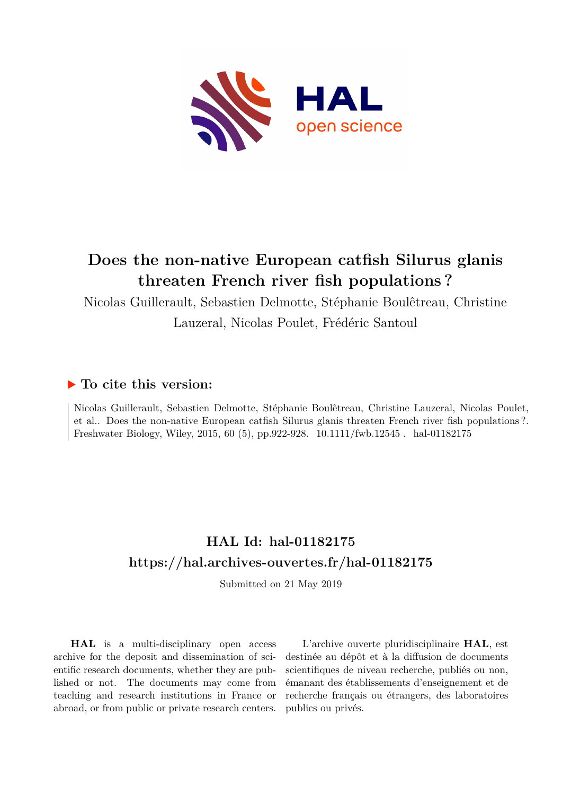

# **Does the non-native European catfish Silurus glanis threaten French river fish populations ?**

Nicolas Guillerault, Sebastien Delmotte, Stéphanie Boulêtreau, Christine

Lauzeral, Nicolas Poulet, Frédéric Santoul

# **To cite this version:**

Nicolas Guillerault, Sebastien Delmotte, Stéphanie Boulêtreau, Christine Lauzeral, Nicolas Poulet, et al.. Does the non-native European catfish Silurus glanis threaten French river fish populations ?. Freshwater Biology, Wiley, 2015, 60 (5), pp.922-928. 10.1111/fwb.12545 . hal-01182175

# **HAL Id: hal-01182175 <https://hal.archives-ouvertes.fr/hal-01182175>**

Submitted on 21 May 2019

**HAL** is a multi-disciplinary open access archive for the deposit and dissemination of scientific research documents, whether they are published or not. The documents may come from teaching and research institutions in France or abroad, or from public or private research centers.

L'archive ouverte pluridisciplinaire **HAL**, est destinée au dépôt et à la diffusion de documents scientifiques de niveau recherche, publiés ou non, émanant des établissements d'enseignement et de recherche français ou étrangers, des laboratoires publics ou privés.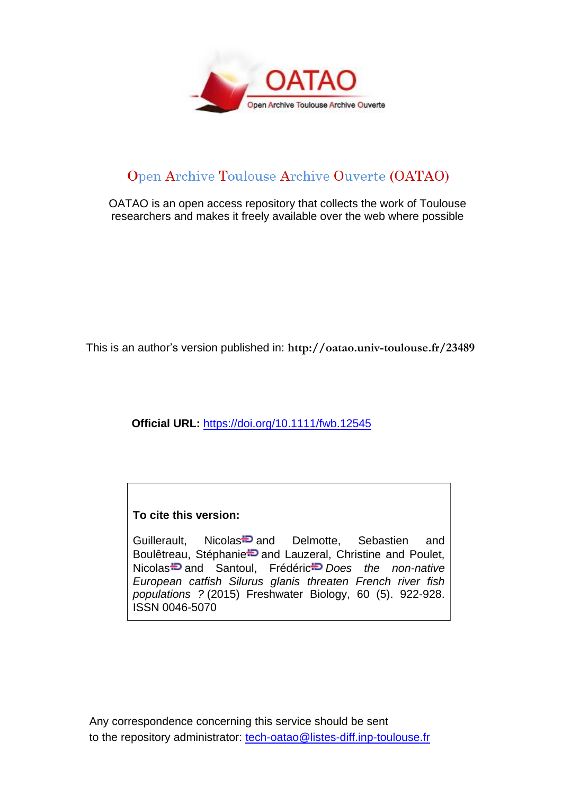

# Open Archive Toulouse Archive Ouverte (OATAO)

OATAO is an open access repository that collects the work of Toulouse researchers and makes it freely available over the web where possible

This is an author's version published in: **http://oatao.univ-toulouse.fr/23489**

**Official URL:** <https://doi.org/10.1111/fwb.12545>

## **To cite this version:**

Guillerault, Nicola[s](http://www.idref.fr/234834412)<sup>-D</sup> and Delmotte, Sebastien and Boulêtr[e](http://www.idref.fr/122620046)au, Stéphanie<sup>1</sup> and Lauzeral, Christine and Poulet, Nicola[s](http://www.idref.fr/086818198) and Santoul, Frédéri[c](http://www.idref.fr/155479695) *Does the non-native European catfish Silurus glanis threaten French river fish populations ?* (2015) Freshwater Biology, 60 (5). 922-928. ISSN 0046-5070

Any correspondence concerning this service should be sent to the repository administrator: [tech-oatao@listes-diff.inp-toulouse.fr](mailto:tech-oatao@listes-diff.inp-toulouse.fr)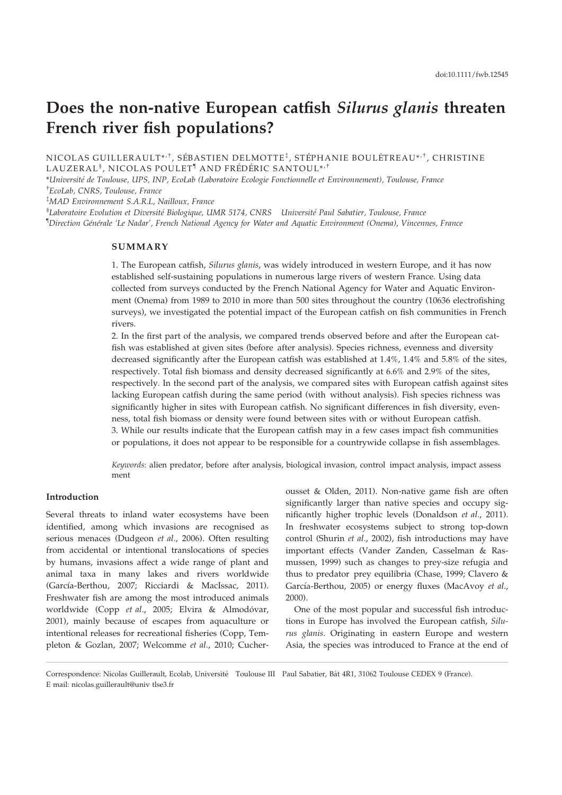# Does the non-native European catfish Silurus glanis threaten French river fish populations?

NICOLAS GUILLERAULT\*<sup>,†</sup>, SÉBASTIEN DELMOTTE<sup>‡</sup>, STÉPHANIE BOULÊTREAU\*<sup>,†</sup>, CHRISTINE LAUZERAL<sup>§</sup>, NICOLAS POULET<sup>¶</sup> AND FRÉDÉRIC SANTOUL\*<sup>,†</sup>

\*Université de Toulouse, UPS, INP, EcoLab (Laboratoire Ecologie Fonctionnelle et Environnement), Toulouse, France † EcoLab, CNRS, Toulouse, France

‡ MAD Environnement S.A.R.L, Nailloux, France

 ${}^{\$}$ Laboratoire Evolution et Diversité Biologique, UMR 5174, CNRS Université Paul Sabatier, Toulouse, France <sup>¶</sup>Direction Générale 'Le Nadar', French National Agency for Water and Aquatic Environment (Onema), Vincennes, France

## **SUMMARY**

1. The European catfish, Silurus glanis, was widely introduced in western Europe, and it has now established self-sustaining populations in numerous large rivers of western France. Using data collected from surveys conducted by the French National Agency for Water and Aquatic Environment (Onema) from 1989 to 2010 in more than 500 sites throughout the country (10636 electrofishing surveys), we investigated the potential impact of the European catfish on fish communities in French rivers.

2. In the first part of the analysis, we compared trends observed before and after the European catfish was established at given sites (before after analysis). Species richness, evenness and diversity decreased significantly after the European catfish was established at 1.4%, 1.4% and 5.8% of the sites, respectively. Total fish biomass and density decreased significantly at 6.6% and 2.9% of the sites, respectively. In the second part of the analysis, we compared sites with European catfish against sites lacking European catfish during the same period (with without analysis). Fish species richness was significantly higher in sites with European catfish. No significant differences in fish diversity, evenness, total fish biomass or density were found between sites with or without European catfish. 3. While our results indicate that the European catfish may in a few cases impact fish communities or populations, it does not appear to be responsible for a countrywide collapse in fish assemblages.

Keywords: alien predator, before after analysis, biological invasion, control impact analysis, impact assess ment

### Introduction

Several threats to inland water ecosystems have been identified, among which invasions are recognised as serious menaces (Dudgeon et al., 2006). Often resulting from accidental or intentional translocations of species by humans, invasions affect a wide range of plant and animal taxa in many lakes and rivers worldwide (García-Berthou, 2007; Ricciardi & MacIssac, 2011). Freshwater fish are among the most introduced animals worldwide (Copp et al., 2005; Elvira & Almodóvar, 2001), mainly because of escapes from aquaculture or intentional releases for recreational fisheries (Copp, Templeton & Gozlan, 2007; Welcomme et al., 2010; Cucherousset & Olden, 2011). Non-native game fish are often significantly larger than native species and occupy significantly higher trophic levels (Donaldson et al., 2011). In freshwater ecosystems subject to strong top-down control (Shurin et al., 2002), fish introductions may have important effects (Vander Zanden, Casselman & Rasmussen, 1999) such as changes to prey-size refugia and thus to predator prey equilibria (Chase, 1999; Clavero & García-Berthou, 2005) or energy fluxes (MacAvoy et al., 2000).

One of the most popular and successful fish introductions in Europe has involved the European catfish, Silurus glanis. Originating in eastern Europe and western Asia, the species was introduced to France at the end of

Correspondence: Nicolas Guillerault, Ecolab, Université Toulouse III Paul Sabatier, Bât 4R1, 31062 Toulouse CEDEX 9 (France). E mail: nicolas.guillerault@univ tlse3.fr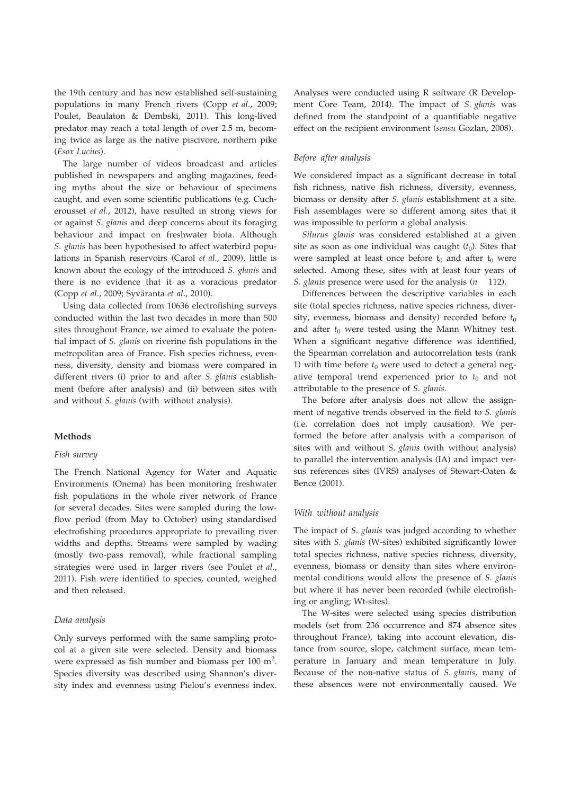the 19th century and has now established self-sustaining populations in many French rivers (Copp et al., 2009; Poulet, Beaulaton & Dembski, 2011). This long-lived predator may reach a total length of over 2.5 m, becoming twice as large as the native piscivore, northern pike (Esox Lucius).

The large number of videos broadcast and articles published in newspapers and angling magazines, feeding myths about the size or behaviour of specimens caught, and even some scientific publications (e.g. Cucherousset et al., 2012), have resulted in strong views for or against S. glanis and deep concerns about its foraging behaviour and impact on freshwater biota. Although S. glanis has been hypothesised to affect waterbird populations in Spanish reservoirs (Carol et al., 2009), little is known about the ecology of the introduced S. glanis and there is no evidence that it as a voracious predator (Copp et al., 2009; Syväranta et al., 2010).

Using data collected from 10636 electrofishing surveys conducted within the last two decades in more than 500 sites throughout France, we aimed to evaluate the potential impact of S. glanis on riverine fish populations in the metropolitan area of France. Fish species richness, evenness, diversity, density and biomass were compared in different rivers (i) prior to and after S. glanis establishment (before after analysis) and (ii) between sites with and without S. glanis (with without analysis).

### Methods

#### Fish survey

The French National Agency for Water and Aquatic Environments (Onema) has been monitoring freshwater fish populations in the whole river network of France for several decades. Sites were sampled during the lowflow period (from May to October) using standardised electrofishing procedures appropriate to prevailing river widths and depths. Streams were sampled by wading (mostly two-pass removal), while fractional sampling strategies were used in larger rivers (see Poulet et al., 2011). Fish were identified to species, counted, weighed and then released.

### Data analysis

Only surveys performed with the same sampling protocol at a given site were selected. Density and biomass were expressed as fish number and biomass per 100 m<sup>2</sup>. Species diversity was described using Shannon's diversity index and evenness using Pielou's evenness index.

Analyses were conducted using R software (R Development Core Team, 2014). The impact of S. glanis was defined from the standpoint of a quantifiable negative effect on the recipient environment (sensu Gozlan, 2008).

#### Before after analysis

We considered impact as a significant decrease in total fish richness, native fish richness, diversity, evenness, biomass or density after S. glanis establishment at a site. Fish assemblages were so different among sites that it was impossible to perform a global analysis.

Silurus glanis was considered established at a given site as soon as one individual was caught  $(t_0)$ . Sites that were sampled at least once before  $t_0$  and after  $t_0$  were selected. Among these, sites with at least four years of S. glanis presence were used for the analysis  $(n \t 112)$ .

Differences between the descriptive variables in each site (total species richness, native species richness, diversity, evenness, biomass and density) recorded before  $t_0$ and after  $t_0$  were tested using the Mann Whitney test. When a significant negative difference was identified, the Spearman correlation and autocorrelation tests (rank 1) with time before  $t_0$  were used to detect a general negative temporal trend experienced prior to  $t_0$  and not attributable to the presence of S. glanis.

The before after analysis does not allow the assignment of negative trends observed in the field to S. glanis (i.e. correlation does not imply causation). We performed the before after analysis with a comparison of sites with and without S. glanis (with without analysis) to parallel the intervention analysis (IA) and impact versus references sites (IVRS) analyses of Stewart-Oaten & Bence (2001).

#### With without analysis

The impact of S. glanis was judged according to whether sites with S. glanis (W-sites) exhibited significantly lower total species richness, native species richness, diversity, evenness, biomass or density than sites where environmental conditions would allow the presence of S. glanis but where it has never been recorded (while electrofishing or angling; Wt-sites).

The W-sites were selected using species distribution models (set from 236 occurrence and 874 absence sites throughout France), taking into account elevation, distance from source, slope, catchment surface, mean temperature in January and mean temperature in July. Because of the non-native status of S. glanis, many of these absences were not environmentally caused. We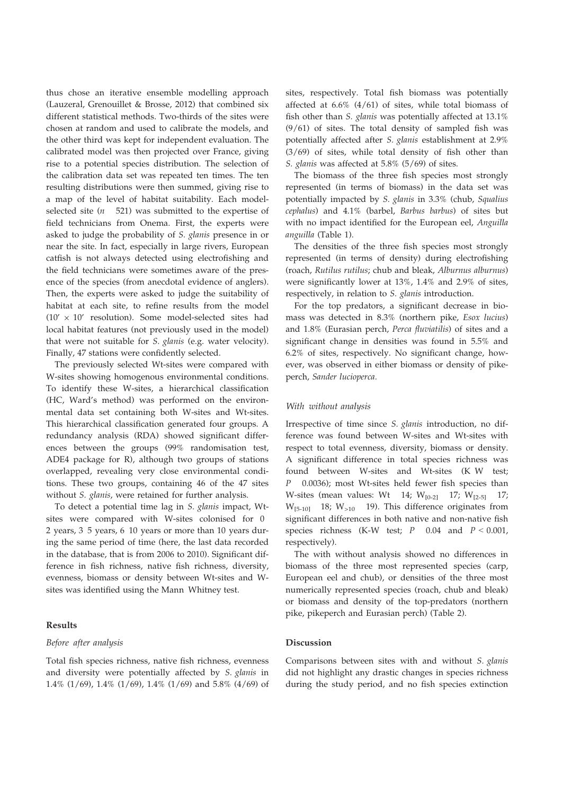thus chose an iterative ensemble modelling approach (Lauzeral, Grenouillet & Brosse, 2012) that combined six different statistical methods. Two-thirds of the sites were chosen at random and used to calibrate the models, and the other third was kept for independent evaluation. The calibrated model was then projected over France, giving rise to a potential species distribution. The selection of the calibration data set was repeated ten times. The ten resulting distributions were then summed, giving rise to a map of the level of habitat suitability. Each modelselected site  $(n 521)$  was submitted to the expertise of field technicians from Onema. First, the experts were asked to judge the probability of S. glanis presence in or near the site. In fact, especially in large rivers, European catfish is not always detected using electrofishing and the field technicians were sometimes aware of the presence of the species (from anecdotal evidence of anglers). Then, the experts were asked to judge the suitability of habitat at each site, to refine results from the model  $(10' \times 10'$  resolution). Some model-selected sites had local habitat features (not previously used in the model) that were not suitable for S. glanis (e.g. water velocity). Finally, 47 stations were confidently selected.

The previously selected Wt-sites were compared with W-sites showing homogenous environmental conditions. To identify these W-sites, a hierarchical classification (HC, Ward's method) was performed on the environmental data set containing both W-sites and Wt-sites. This hierarchical classification generated four groups. A redundancy analysis (RDA) showed significant differences between the groups (99% randomisation test, ADE4 package for R), although two groups of stations overlapped, revealing very close environmental conditions. These two groups, containing 46 of the 47 sites without S. glanis, were retained for further analysis.

To detect a potential time lag in S. glanis impact, Wtsites were compared with W-sites colonised for 0 2 years, 3 5 years, 6 10 years or more than 10 years during the same period of time (here, the last data recorded in the database, that is from 2006 to 2010). Significant difference in fish richness, native fish richness, diversity, evenness, biomass or density between Wt-sites and Wsites was identified using the Mann Whitney test.

### Results

### Before after analysis

Total fish species richness, native fish richness, evenness and diversity were potentially affected by S. glanis in 1.4% (1/69), 1.4% (1/69), 1.4% (1/69) and 5.8% (4/69) of S. glanis was affected at 5.8% (5/69) of sites. sites, respectively. Total fish biomass was potentially affected at  $6.6\%$   $(4/61)$  of sites, while total biomass of fish other than S. glanis was potentially affected at 13.1% (9/61) of sites. The total density of sampled fish was potentially affected after S. glanis establishment at 2.9% (3/69) of sites, while total density of fish other than

The biomass of the three fish species most strongly represented (in terms of biomass) in the data set was potentially impacted by S. glanis in 3.3% (chub, Squalius cephalus) and 4.1% (barbel, Barbus barbus) of sites but with no impact identified for the European eel, Anguilla anguilla (Table 1).

The densities of the three fish species most strongly represented (in terms of density) during electrofishing (roach, Rutilus rutilus; chub and bleak, Alburnus alburnus) were significantly lower at 13%, 1.4% and 2.9% of sites, respectively, in relation to S. glanis introduction.

For the top predators, a significant decrease in biomass was detected in 8.3% (northern pike, Esox lucius) and 1.8% (Eurasian perch, Perca fluviatilis) of sites and a significant change in densities was found in 5.5% and 6.2% of sites, respectively. No significant change, however, was observed in either biomass or density of pikeperch, Sander lucioperca.

#### With without analysis

Irrespective of time since S. glanis introduction, no difference was found between W-sites and Wt-sites with respect to total evenness, diversity, biomass or density. A significant difference in total species richness was found between W-sites and Wt-sites (K W test; P 0.0036); most Wt-sites held fewer fish species than W-sites (mean values: Wt 14;  $W_{[0-2]}$  17;  $W_{[2-5]}$  17;  $W_{[5-10]}$  18;  $W_{>10}$  19). This difference originates from significant differences in both native and non-native fish species richness (K-W test;  $P$  0.04 and  $P < 0.001$ , respectively).

The with without analysis showed no differences in biomass of the three most represented species (carp, European eel and chub), or densities of the three most numerically represented species (roach, chub and bleak) or biomass and density of the top-predators (northern pike, pikeperch and Eurasian perch) (Table 2).

#### Discussion

Comparisons between sites with and without S. glanis did not highlight any drastic changes in species richness during the study period, and no fish species extinction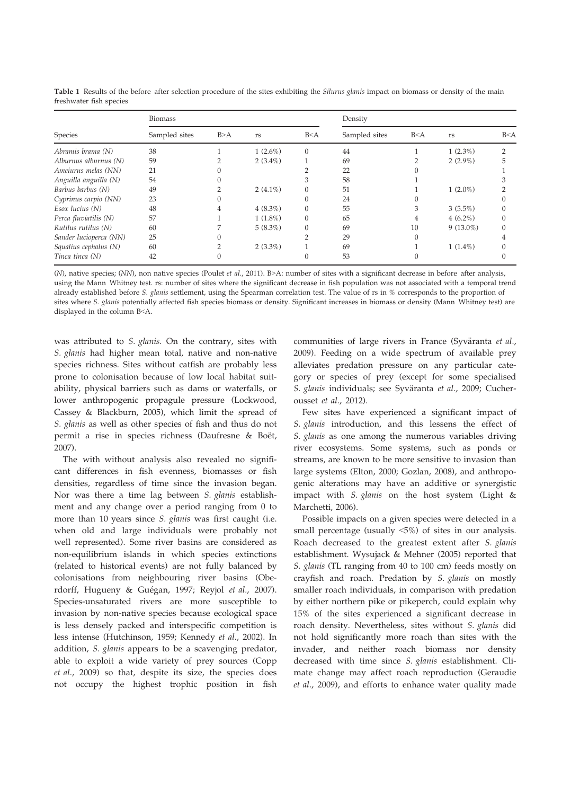|                        | <b>Biomass</b> |     |             |          | Density       |       |             |       |
|------------------------|----------------|-----|-------------|----------|---------------|-------|-------------|-------|
| Species                | Sampled sites  | B>A | rs          | B < A    | Sampled sites | B < A | rs          | B < A |
| Abramis brama (N)      | 38             |     | $1(2.6\%)$  | $\Omega$ | 44            |       | $1(2.3\%)$  |       |
| Alburnus alburnus (N)  | 59             |     | $2(3.4\%)$  |          | 69            |       | $2(2.9\%)$  |       |
| Ameiurus melas (NN)    | 21             |     |             |          | 22            |       |             |       |
| Anguilla anguilla (N)  | 54             |     |             | .5       | 58            |       |             |       |
| Barbus barbus (N)      | 49             |     | 2 $(4.1\%)$ |          | 51            |       | $1(2.0\%)$  |       |
| Cyprinus carpio (NN)   | 23             |     |             |          | 24            |       |             |       |
| $Esox$ lucius $(N)$    | 48             |     | $4(8.3\%)$  |          | 55            |       | $3(5.5\%)$  |       |
| Perca fluviatilis (N)  | 57             |     | $1(1.8\%)$  |          | 65            |       | $4(6.2\%)$  |       |
| Rutilus rutilus (N)    | 60             |     | $5(8.3\%)$  |          | 69            | 10    | $9(13.0\%)$ |       |
| Sander lucioperca (NN) | 25             |     |             |          | 29            |       |             |       |
| Squalius cephalus (N)  | 60             |     | $2(3.3\%)$  |          | 69            |       | $1(1.4\%)$  |       |
| Tinca tinca (N)        | 42             |     |             |          | 53            |       |             |       |

Table 1 Results of the before after selection procedure of the sites exhibiting the Silurus glanis impact on biomass or density of the main freshwater fish species

(N), native species; (NN), non native species (Poulet et al., 2011). B>A: number of sites with a significant decrease in before after analysis, using the Mann Whitney test. rs: number of sites where the significant decrease in fish population was not associated with a temporal trend already established before S. glanis settlement, using the Spearman correlation test. The value of rs in % corresponds to the proportion of sites where S. glanis potentially affected fish species biomass or density. Significant increases in biomass or density (Mann Whitney test) are displayed in the column B<A.

was attributed to S. glanis. On the contrary, sites with S. glanis had higher mean total, native and non-native species richness. Sites without catfish are probably less prone to colonisation because of low local habitat suitability, physical barriers such as dams or waterfalls, or lower anthropogenic propagule pressure (Lockwood, Cassey & Blackburn, 2005), which limit the spread of S. glanis as well as other species of fish and thus do not permit a rise in species richness (Daufresne & Boët, 2007).

The with without analysis also revealed no significant differences in fish evenness, biomasses or fish densities, regardless of time since the invasion began. Nor was there a time lag between S. glanis establishment and any change over a period ranging from 0 to more than 10 years since S. glanis was first caught (i.e. when old and large individuals were probably not well represented). Some river basins are considered as non-equilibrium islands in which species extinctions (related to historical events) are not fully balanced by colonisations from neighbouring river basins (Oberdorff, Hugueny & Guégan, 1997; Reyjol et al., 2007). Species-unsaturated rivers are more susceptible to invasion by non-native species because ecological space is less densely packed and interspecific competition is less intense (Hutchinson, 1959; Kennedy et al., 2002). In addition, S. glanis appears to be a scavenging predator, able to exploit a wide variety of prey sources (Copp et al., 2009) so that, despite its size, the species does not occupy the highest trophic position in fish communities of large rivers in France (Syväranta et al., 2009). Feeding on a wide spectrum of available prey alleviates predation pressure on any particular category or species of prey (except for some specialised S. glanis individuals; see Syväranta et al., 2009; Cucherousset et al., 2012).

Few sites have experienced a significant impact of S. glanis introduction, and this lessens the effect of S. glanis as one among the numerous variables driving river ecosystems. Some systems, such as ponds or streams, are known to be more sensitive to invasion than large systems (Elton, 2000; Gozlan, 2008), and anthropogenic alterations may have an additive or synergistic impact with S. glanis on the host system (Light  $\&$ Marchetti, 2006).

Possible impacts on a given species were detected in a small percentage (usually <5%) of sites in our analysis. Roach decreased to the greatest extent after S. glanis establishment. Wysujack & Mehner (2005) reported that S. glanis (TL ranging from 40 to 100 cm) feeds mostly on crayfish and roach. Predation by S. glanis on mostly smaller roach individuals, in comparison with predation by either northern pike or pikeperch, could explain why 15% of the sites experienced a significant decrease in roach density. Nevertheless, sites without S. glanis did not hold significantly more roach than sites with the invader, and neither roach biomass nor density decreased with time since S. glanis establishment. Climate change may affect roach reproduction (Geraudie et al., 2009), and efforts to enhance water quality made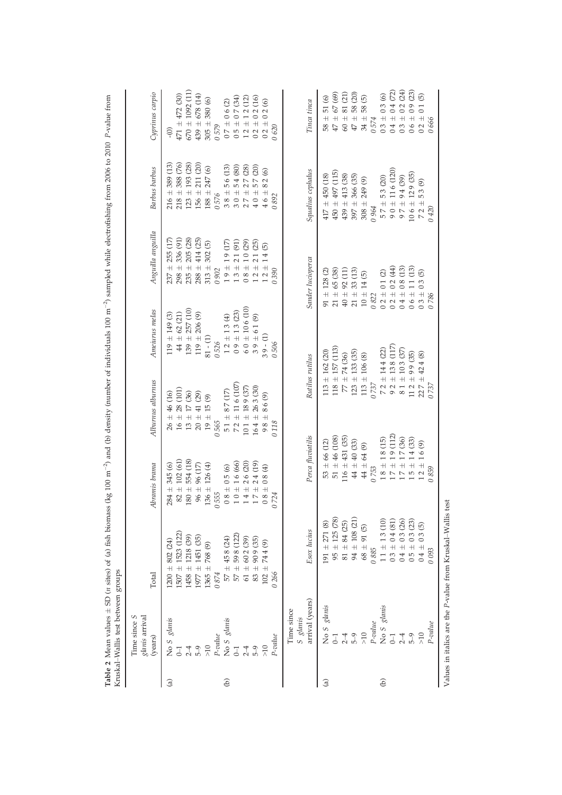|               | Kruskal-Wallis test between groups<br>Time since S<br>glanis arrival | Total                                                        |                                                                                                                                          |                                                                                   |                                                                                             |                                                                                                                                       | <b>Barbus</b> barbus                                                                                                                 |                                                                                                                                                                                 |
|---------------|----------------------------------------------------------------------|--------------------------------------------------------------|------------------------------------------------------------------------------------------------------------------------------------------|-----------------------------------------------------------------------------------|---------------------------------------------------------------------------------------------|---------------------------------------------------------------------------------------------------------------------------------------|--------------------------------------------------------------------------------------------------------------------------------------|---------------------------------------------------------------------------------------------------------------------------------------------------------------------------------|
|               | (years)                                                              |                                                              | Abramis brama                                                                                                                            | Alburnus alburnus                                                                 | Ameiurus melas                                                                              | Anguilla anguilla                                                                                                                     |                                                                                                                                      | Cyprinus carpio                                                                                                                                                                 |
| $\widehat{a}$ | No $S$ glanis<br>0–1                                                 | 802 (24)<br>$200 \pm$                                        | $284 \pm 345$ (6)                                                                                                                        | ± 46(16)<br>26                                                                    | $119 \pm 149$ (3)                                                                           | 255 (17)<br>$\overline{+}$<br>237                                                                                                     | 389 (13)<br>$216 \pm 1$                                                                                                              | $\widetilde{O}$                                                                                                                                                                 |
|               |                                                                      | $1507 \pm 1523$ (122)                                        | $82 \pm 102$ (61)                                                                                                                        | $16 \pm 28 \ (101)$ $13 \pm 17 \ (36)$                                            | $44 \pm 62$ (21)                                                                            | 336 (91)<br>$298 \pm$                                                                                                                 | $218 \pm 388$ (76)                                                                                                                   | $471 \pm 472$ (30)                                                                                                                                                              |
|               | $2 - 4$                                                              | $1458 \pm 1218$ (39)                                         | $180 \pm 554$ (18)                                                                                                                       |                                                                                   | $139 \pm 257$ (10)                                                                          | 205 (28)<br>$235 \pm$                                                                                                                 | $123 \pm 193$ (28)                                                                                                                   | $670 \pm 1092$ (11)                                                                                                                                                             |
|               | $5-9$                                                                | $1977 \pm 1451$ (35)                                         | $96 \pm 96$ (17)                                                                                                                         | $20 \pm 41$ (29)                                                                  | $119 \pm 206$ (9)                                                                           | $288 \pm 414$ (25)                                                                                                                    | $156 \pm 211 (20)$                                                                                                                   | $439 \pm 678$ (14)                                                                                                                                                              |
|               | $\geqslant 10$                                                       | $1365 \pm 768$ (9)                                           | 136 ± 126 (4)                                                                                                                            | $19\,\pm\,15\,(9)$                                                                | $81 - (1)$                                                                                  | $\widehat{\Theta}$<br>302<br>$313 \pm$                                                                                                | $\circledcirc$<br>247<br>$188\,\pm\,$                                                                                                | 380 (6)<br>$305 \pm$                                                                                                                                                            |
|               | $P$ -value                                                           | 0874                                                         | 0555                                                                                                                                     | 0565                                                                              | 0526                                                                                        | 0 902                                                                                                                                 | 0576                                                                                                                                 | 0579                                                                                                                                                                            |
| $\Theta$      |                                                                      |                                                              |                                                                                                                                          | $51 \pm 87$ (17)                                                                  | $\begin{array}{c} 1\,2\pm 1\,3\,(4)\\ 0\,9\pm 1\,3\,(23)\\ 6\,0\pm 10\,6\,(10) \end{array}$ |                                                                                                                                       |                                                                                                                                      |                                                                                                                                                                                 |
|               | No 5 glanis<br>0–1                                                   | $57 \pm 458$ (24)<br>$57 \pm 598$ (122)<br>$61 \pm 602$ (39) |                                                                                                                                          | $\begin{array}{c} 72 \pm 11\,6\;(107) \\ 10\,1 \, \pm \, 18\,9\;(37) \end{array}$ |                                                                                             |                                                                                                                                       |                                                                                                                                      |                                                                                                                                                                                 |
|               | $2-4$                                                                |                                                              |                                                                                                                                          |                                                                                   |                                                                                             |                                                                                                                                       |                                                                                                                                      |                                                                                                                                                                                 |
|               | $5-9$                                                                | (35)<br>$83\pm90\,$ 9                                        | $\begin{array}{c} 0.8\pm 0.5\ (6) \\ 1.0\pm 1.6\ (66) \\ 1.4\pm 2.6\ (20) \\ 1.7\pm 2.4\ (19) \end{array}$                               | $164 \pm 263$ (30)                                                                | $39\pm6\,1$ (9)                                                                             | $\begin{array}{c} 1\,9 \pm 1\,9 \;(17) \\ 1\,3 \pm 2\,1 \;(91) \\ 0\,8 \pm 1\,0 \;(29) \\ 1\,2 \pm 2\,1 \;(25) \end{array}$           | $\begin{array}{c} 3\,8\,\pm\,5\,6\,\,(13)\\ 3\,0\,\pm\,5\,4\,\,(80)\\ 2\,7\,\pm\,2\,7\,\,(28)\\ 4\,0\,\pm\,5\,7\,\,(20) \end{array}$ | $\begin{array}{c} 0 \ 7 \ \pm \ 0 \ 6 \ (2) \\ 0 \ 5 \ \pm \ 0 \ 7 \ (34) \\ 1 \ 2 \ \pm \ 1 \ 2 \ (12) \\ 0 \ 2 \ \pm \ 0 \ 2 \ (16) \\ 0 \ 2 \ \pm \ 0 \ 2 \ (6) \end{array}$ |
|               | $\frac{1}{2}$                                                        | $102 + 744$                                                  | $0.8\pm0.8$ (4)                                                                                                                          | 86(9)<br>$98 \pm$                                                                 | $39 - (1)$                                                                                  | $12 \pm 14$ (5)                                                                                                                       | 2(6)<br>${}^{\circ}$<br>$46 \pm$                                                                                                     |                                                                                                                                                                                 |
|               | P-value                                                              | 0 266                                                        | 0724                                                                                                                                     | 0118                                                                              | 506<br>$\circ$                                                                              | 0390                                                                                                                                  | 0892                                                                                                                                 | 0620                                                                                                                                                                            |
|               | Time since                                                           |                                                              |                                                                                                                                          |                                                                                   |                                                                                             |                                                                                                                                       |                                                                                                                                      |                                                                                                                                                                                 |
|               | S glanis                                                             |                                                              |                                                                                                                                          |                                                                                   |                                                                                             |                                                                                                                                       |                                                                                                                                      |                                                                                                                                                                                 |
|               | arrival (years)                                                      | Esox lucius                                                  | Perca fluviatilis                                                                                                                        | Rutilus rutilus                                                                   |                                                                                             | Sander lucioperca                                                                                                                     | Squalius cephalus                                                                                                                    | Tinca tinca                                                                                                                                                                     |
| $\widehat{a}$ |                                                                      | $191 \pm 271$ (8)                                            | $53 \pm 66$ (12)                                                                                                                         | $113 \pm 162$ (20)                                                                |                                                                                             | $91 \pm 128$ (2)                                                                                                                      | $417 \pm 450$ (18)                                                                                                                   | $58 + 51(6)$                                                                                                                                                                    |
|               | No $S$ glanis<br>0–1                                                 | $95 \pm 125$ (78)                                            | $51 \pm 46$ (108)                                                                                                                        | $118 \pm 157$ (113)                                                               |                                                                                             | $21 \pm 65$ (38)                                                                                                                      | $450 \pm 497$ (115)                                                                                                                  | $47 \pm 67(69)$                                                                                                                                                                 |
|               | $2-4$                                                                | $81 + 84(25)$                                                | $116 \pm 431$ (35)                                                                                                                       | $77 \pm 74(36)$                                                                   |                                                                                             | $40 \pm 92$ (11)                                                                                                                      | $439 \pm 413$ (38)                                                                                                                   | $60 \pm 81$ (21)                                                                                                                                                                |
|               | $6 - 5$                                                              | $94 \pm 108$ (21)                                            | $44 \pm 40$ (33)                                                                                                                         | $123 \pm 133$ (35)                                                                |                                                                                             | $21 \pm 33$ (13)                                                                                                                      | $397 + 366$ (35)                                                                                                                     | 58 (20)<br>$47 \pm 1$                                                                                                                                                           |
|               | $>10$                                                                | $68 + 91(5)$                                                 | $44 \pm 64$ (9)                                                                                                                          | $113\,\pm\,106$ $(8)$                                                             |                                                                                             | $10\,\pm\,14$ $(5)$                                                                                                                   | $308 \pm 249$ (9)                                                                                                                    | 58(5)<br>$34 \pm 1$                                                                                                                                                             |
|               | $P$ -value                                                           | 0885                                                         | 0753                                                                                                                                     | 0737                                                                              |                                                                                             | 0822                                                                                                                                  | 0964                                                                                                                                 | 0574                                                                                                                                                                            |
| $\widehat{e}$ | No S $g$ lanis<br>0–1                                                | $11 \pm 13(10)$                                              | $\begin{array}{c} 1\ 8 \ \pm \ 1\ 8\ (15) \\ 1\ 7 \ \pm \ 1\ 9\ (112) \\ 1\ 7 \ \pm \ 1\ 7\ (36) \\ 1\ 5 \ \pm \ 1\ 4\ (33) \end{array}$ | $72 \pm 144 (22)$                                                                 |                                                                                             | $\begin{array}{c} 0\,2\,\pm\,0\,1\,\,(2)\\ 0\,2\,\pm\,0\,2\,\,(44)\\ 0\,4\,\pm\,0\,8\,\,(13)\\ 0\,6\,\pm\,1\,\,1\,\,(13) \end{array}$ | $57 \pm 53(20)$                                                                                                                      | $\begin{array}{c} 0 \ 3 \ \pm \ 0 \ 3 \ (6) \\ 0 \ 4 \ \pm \ 0 \ 4 \ (72) \\ 0 \ 3 \ \pm \ 0 \ 2 \ (24) \\ 0 \ 6 \ \pm \ 0 \ 9 \ (23) \end{array}$                              |
|               |                                                                      | $\left( 81\right)$<br>$03 \pm 04$                            |                                                                                                                                          |                                                                                   | $\begin{array}{c} 92 \pm 13\,8\ (117) \\ 8\,1 \pm 10\,3\ (37) \end{array}$                  |                                                                                                                                       | $90 \pm 116(120)$<br>$97 \pm 94(39)$                                                                                                 |                                                                                                                                                                                 |
|               | $2-4$                                                                | $\pm$ 0<br>4                                                 |                                                                                                                                          |                                                                                   |                                                                                             |                                                                                                                                       |                                                                                                                                      |                                                                                                                                                                                 |
|               |                                                                      | $\overline{+}$<br>$\overline{5}$                             |                                                                                                                                          | $112 \pm 99$ (35)                                                                 |                                                                                             |                                                                                                                                       | $106 \pm 129$ (35)                                                                                                                   |                                                                                                                                                                                 |
|               |                                                                      | $04 \pm$                                                     | $12 \pm 16(9)$                                                                                                                           | $227 \pm 424$ (8)                                                                 |                                                                                             | $\odot$<br>$03 \pm 03$                                                                                                                | 53(9)<br>$72 \pm$                                                                                                                    | $02 \pm 01$ (5)<br>0666                                                                                                                                                         |
|               | P-value                                                              | 0093                                                         | 859<br>$\circ$                                                                                                                           | 0737                                                                              |                                                                                             | 0786                                                                                                                                  | 0420                                                                                                                                 |                                                                                                                                                                                 |
|               |                                                                      |                                                              |                                                                                                                                          |                                                                                   |                                                                                             |                                                                                                                                       |                                                                                                                                      |                                                                                                                                                                                 |

Table 2 Mean values  $\pm$  SD (n sites) of (a) fish biomass (kg 100 m<sup>-2</sup>) and (b) density (number of individuals 100 m<sup>-2</sup>) sampled while electrofishing from 2006 to 2010 *P*-value from **Table 2** Mean values  $\pm$  SD (*n* sites) of (a) fish biomass (kg 100 m<sup>-2</sup>) and (b) density (number of individuals 100 m<sup>-2</sup>) sampled while electrofishing from 2006 to 2010 P-value from

Values in italics are the P-value from Kruskal-Wallis test Values in italics are the P-value from Kruskal–Wallis test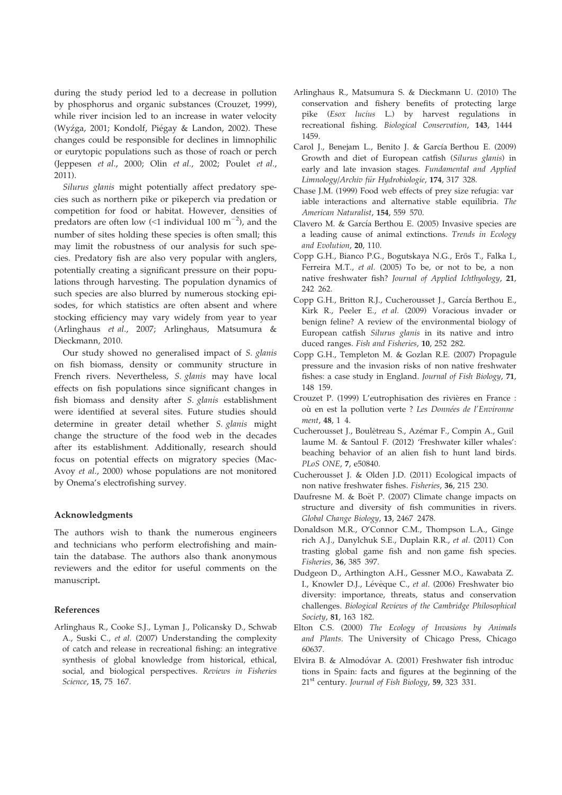during the study period led to a decrease in pollution by phosphorus and organic substances (Crouzet, 1999), while river incision led to an increase in water velocity (Wyźga, 2001; Kondolf, Piégay & Landon, 2002). These changes could be responsible for declines in limnophilic or eurytopic populations such as those of roach or perch (Jeppesen et al., 2000; Olin et al., 2002; Poulet et al., 2011).

Silurus glanis might potentially affect predatory species such as northern pike or pikeperch via predation or competition for food or habitat. However, densities of predators are often low  $\langle$  <1 individual 100 m<sup>-2</sup>), and the number of sites holding these species is often small; this may limit the robustness of our analysis for such species. Predatory fish are also very popular with anglers, potentially creating a significant pressure on their populations through harvesting. The population dynamics of such species are also blurred by numerous stocking episodes, for which statistics are often absent and where stocking efficiency may vary widely from year to year (Arlinghaus et al., 2007; Arlinghaus, Matsumura & Dieckmann, 2010.

Our study showed no generalised impact of S. glanis on fish biomass, density or community structure in French rivers. Nevertheless, S. glanis may have local effects on fish populations since significant changes in fish biomass and density after S. glanis establishment were identified at several sites. Future studies should determine in greater detail whether S. glanis might change the structure of the food web in the decades after its establishment. Additionally, research should focus on potential effects on migratory species (Mac-Avoy et al., 2000) whose populations are not monitored by Onema's electrofishing survey.

#### Acknowledgments

The authors wish to thank the numerous engineers and technicians who perform electrofishing and maintain the database. The authors also thank anonymous reviewers and the editor for useful comments on the manuscript.

#### References

A., Suski C., et al. (2007) Understanding the complexity of catch and release in recreational fishing: an integrative synthesis of global knowledge from historical, ethical, social, and biological perspectives. Reviews in Fisheries Science, 15, 75 167. Arlinghaus R., Cooke S.J., Lyman J., Policansky D., Schwab

- Arlinghaus R., Matsumura S. & Dieckmann U. (2010) The conservation and fishery benefits of protecting large pike (Esox lucius L.) by harvest regulations in recreational fishing. Biological Conservation, 143, 1444 1459.
- Carol J., Benejam L., Benito J. & García Berthou E. (2009) Growth and diet of European catfish (Silurus glanis) in early and late invasion stages. Fundamental and Applied Limnology/Archiv für Hydrobiologie, 174, 317 328.
- Chase J.M. (1999) Food web effects of prey size refugia: var iable interactions and alternative stable equilibria. The American Naturalist, 154, 559 570.
- Clavero M. & García Berthou E. (2005) Invasive species are a leading cause of animal extinctions. Trends in Ecology and Evolution, 20, 110.
- Copp G.H., Bianco P.G., Bogutskaya N.G., Erős T., Falka I., Ferreira M.T., et al. (2005) To be, or not to be, a non native freshwater fish? Journal of Applied Ichthyology, 21, 242 262.
- Copp G.H., Britton R.J., Cucherousset J., García Berthou E., Kirk R., Peeler E., et al. (2009) Voracious invader or benign feline? A review of the environmental biology of European catfish Silurus glanis in its native and intro duced ranges. Fish and Fisheries, 10, 252 282.
- Copp G.H., Templeton M. & Gozlan R.E. (2007) Propagule pressure and the invasion risks of non native freshwater fishes: a case study in England. Journal of Fish Biology, 71, 148 159.
- Crouzet P. (1999) L'eutrophisation des rivières en France : où en est la pollution verte ? Les Données de l'Environne ment, 48, 1 4.
- Cucherousset J., Boulêtreau S., Azémar F., Compin A., Guil laume M. & Santoul F. (2012) 'Freshwater killer whales': beaching behavior of an alien fish to hunt land birds. PLoS ONE, 7, e50840.
- Cucherousset J. & Olden J.D. (2011) Ecological impacts of non native freshwater fishes. Fisheries, 36, 215 230.
- Daufresne M. & Boët P. (2007) Climate change impacts on structure and diversity of fish communities in rivers. Global Change Biology, 13, 2467 2478.
- Donaldson M.R., O'Connor C.M., Thompson L.A., Ginge rich A.J., Danylchuk S.E., Duplain R.R., et al. (2011) Con trasting global game fish and non game fish species. Fisheries, 36, 385 397.
- Dudgeon D., Arthington A.H., Gessner M.O., Kawabata Z. I., Knowler D.J., Lévêque C., et al. (2006) Freshwater bio diversity: importance, threats, status and conservation challenges. Biological Reviews of the Cambridge Philosophical Society, 81, 163 182.
- Elton C.S. (2000) The Ecology of Invasions by Animals and Plants. The University of Chicago Press, Chicago 60637.
- Elvira B. & Almodóvar A. (2001) Freshwater fish introduc tions in Spain: facts and figures at the beginning of the 21<sup>st</sup> century. Journal of Fish Biology, 59, 323 331.